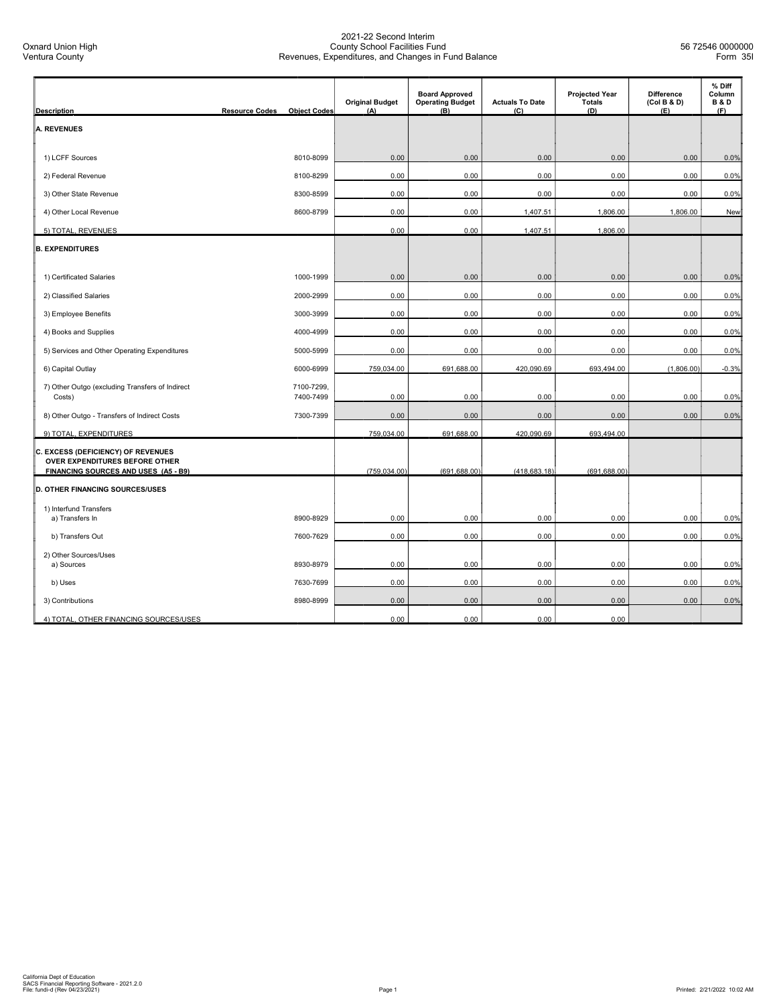| <b>Description</b>                                                   | <b>Resource Codes</b> | <b>Object Codes</b> | <b>Original Budget</b><br>(A) | <b>Board Approved</b><br><b>Operating Budget</b><br>(B) | <b>Actuals To Date</b><br>(C) | <b>Projected Year</b><br><b>Totals</b><br>(D) | <b>Difference</b><br>(Col B & D)<br>(E) | % Diff<br>Column<br><b>B&amp;D</b><br>(F) |
|----------------------------------------------------------------------|-----------------------|---------------------|-------------------------------|---------------------------------------------------------|-------------------------------|-----------------------------------------------|-----------------------------------------|-------------------------------------------|
| <b>A. REVENUES</b>                                                   |                       |                     |                               |                                                         |                               |                                               |                                         |                                           |
|                                                                      |                       |                     |                               |                                                         |                               |                                               |                                         |                                           |
| 1) LCFF Sources                                                      |                       | 8010-8099           | 0.00                          | 0.00                                                    | 0.00                          | 0.00                                          | 0.00                                    | 0.0%                                      |
| 2) Federal Revenue                                                   |                       | 8100-8299           | 0.00                          | 0.00                                                    | 0.00                          | 0.00                                          | 0.00                                    | 0.0%                                      |
| 3) Other State Revenue                                               |                       | 8300-8599           | 0.00                          | 0.00                                                    | 0.00                          | 0.00                                          | 0.00                                    | 0.0%                                      |
| 4) Other Local Revenue                                               |                       | 8600-8799           | 0.00                          | 0.00                                                    | 1,407.51                      | 1,806.00                                      | 1,806.00                                | New                                       |
| 5) TOTAL, REVENUES                                                   |                       |                     | 0.00                          | 0.00                                                    | 1,407.51                      | 1,806.00                                      |                                         |                                           |
| <b>B. EXPENDITURES</b>                                               |                       |                     |                               |                                                         |                               |                                               |                                         |                                           |
|                                                                      |                       |                     |                               |                                                         |                               |                                               |                                         |                                           |
| 1) Certificated Salaries                                             |                       | 1000-1999           | 0.00                          | 0.00                                                    | 0.00                          | 0.00                                          | 0.00                                    | 0.0%                                      |
| 2) Classified Salaries                                               |                       | 2000-2999           | 0.00                          | 0.00                                                    | 0.00                          | 0.00                                          | 0.00                                    | 0.0%                                      |
| 3) Employee Benefits                                                 |                       | 3000-3999           | 0.00                          | 0.00                                                    | 0.00                          | 0.00                                          | 0.00                                    | 0.0%                                      |
| 4) Books and Supplies                                                |                       | 4000-4999           | 0.00                          | 0.00                                                    | 0.00                          | 0.00                                          | 0.00                                    | 0.0%                                      |
| 5) Services and Other Operating Expenditures                         |                       | 5000-5999           | 0.00                          | 0.00                                                    | 0.00                          | 0.00                                          | 0.00                                    | 0.0%                                      |
| 6) Capital Outlay                                                    |                       | 6000-6999           | 759,034.00                    | 691,688.00                                              | 420,090.69                    | 693,494.00                                    | (1,806.00)                              | $-0.3%$                                   |
| 7) Other Outgo (excluding Transfers of Indirect                      |                       | 7100-7299,          |                               |                                                         |                               |                                               |                                         |                                           |
| Costs)                                                               |                       | 7400-7499           | 0.00                          | 0.00                                                    | 0.00                          | 0.00                                          | 0.00                                    | 0.0%                                      |
| 8) Other Outgo - Transfers of Indirect Costs                         |                       | 7300-7399           | 0.00                          | 0.00                                                    | 0.00                          | 0.00                                          | 0.00                                    | 0.0%                                      |
| 9) TOTAL, EXPENDITURES                                               |                       |                     | 759,034.00                    | 691,688.00                                              | 420,090.69                    | 693,494.00                                    |                                         |                                           |
| C. EXCESS (DEFICIENCY) OF REVENUES<br>OVER EXPENDITURES BEFORE OTHER |                       |                     |                               |                                                         |                               |                                               |                                         |                                           |
| FINANCING SOURCES AND USES (A5 - B9)                                 |                       |                     | (759, 034.00)                 | (691, 688.00)                                           | (418, 683.18)                 | (691, 688.00)                                 |                                         |                                           |
| <b>D. OTHER FINANCING SOURCES/USES</b>                               |                       |                     |                               |                                                         |                               |                                               |                                         |                                           |
| 1) Interfund Transfers                                               |                       |                     |                               |                                                         |                               |                                               |                                         |                                           |
| a) Transfers In                                                      |                       | 8900-8929           | 0.00                          | 0.00                                                    | 0.00                          | 0.00                                          | 0.00                                    | 0.0%                                      |
| b) Transfers Out                                                     |                       | 7600-7629           | 0.00                          | 0.00                                                    | 0.00                          | 0.00                                          | 0.00                                    | 0.0%                                      |
| 2) Other Sources/Uses<br>a) Sources                                  |                       | 8930-8979           | 0.00                          | 0.00                                                    | 0.00                          | 0.00                                          | 0.00                                    | 0.0%                                      |
| b) Uses                                                              |                       | 7630-7699           | 0.00                          | 0.00                                                    | 0.00                          | 0.00                                          | 0.00                                    | 0.0%                                      |
| 3) Contributions                                                     |                       | 8980-8999           | 0.00                          | 0.00                                                    | 0.00                          | 0.00                                          | 0.00                                    | 0.0%                                      |
| 4) TOTAL, OTHER FINANCING SOURCES/USES                               |                       |                     | 0.00                          | 0.00                                                    | 0.00                          | 0.00                                          |                                         |                                           |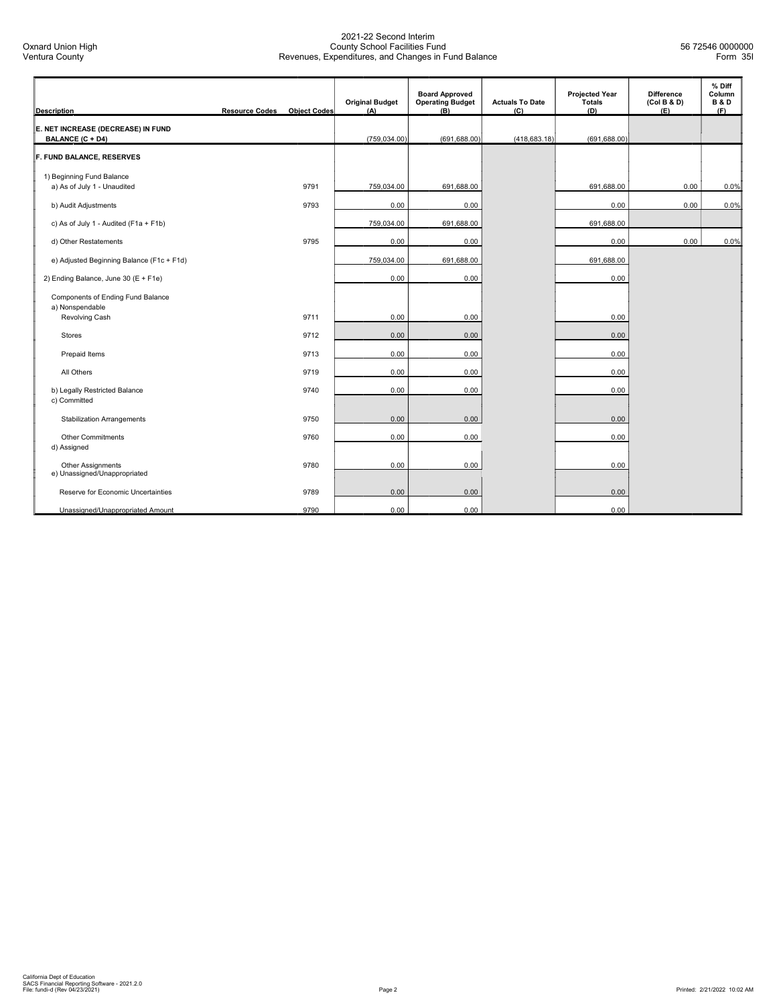| <b>Description</b>                                            | <b>Resource Codes</b> | <b>Object Codes</b> | <b>Original Budget</b><br>(A) | <b>Board Approved</b><br><b>Operating Budget</b><br>(B) | <b>Actuals To Date</b><br>(C) | <b>Projected Year</b><br><b>Totals</b><br>(D) | <b>Difference</b><br>(Col B & D)<br>(E) | % Diff<br>Column<br><b>B&amp;D</b><br>(F) |
|---------------------------------------------------------------|-----------------------|---------------------|-------------------------------|---------------------------------------------------------|-------------------------------|-----------------------------------------------|-----------------------------------------|-------------------------------------------|
| E. NET INCREASE (DECREASE) IN FUND<br><b>BALANCE (C + D4)</b> |                       |                     | (759, 034.00)                 | (691, 688.00)                                           | (418, 683.18)                 | (691, 688.00)                                 |                                         |                                           |
| F. FUND BALANCE, RESERVES                                     |                       |                     |                               |                                                         |                               |                                               |                                         |                                           |
| 1) Beginning Fund Balance<br>a) As of July 1 - Unaudited      |                       | 9791                | 759,034.00                    | 691,688.00                                              |                               | 691,688.00                                    | 0.00                                    | 0.0%                                      |
| b) Audit Adjustments                                          |                       | 9793                | 0.00                          | 0.00                                                    |                               | 0.00                                          | 0.00                                    | 0.0%                                      |
| c) As of July 1 - Audited (F1a + F1b)                         |                       |                     | 759,034.00                    | 691,688.00                                              |                               | 691,688.00                                    |                                         |                                           |
| d) Other Restatements                                         |                       | 9795                | 0.00                          | 0.00                                                    |                               | 0.00                                          | 0.00                                    | 0.0%                                      |
| e) Adjusted Beginning Balance (F1c + F1d)                     |                       |                     | 759,034.00                    | 691,688.00                                              |                               | 691,688.00                                    |                                         |                                           |
| 2) Ending Balance, June 30 (E + F1e)                          |                       |                     | 0.00                          | 0.00                                                    |                               | 0.00                                          |                                         |                                           |
| Components of Ending Fund Balance<br>a) Nonspendable          |                       |                     |                               |                                                         |                               |                                               |                                         |                                           |
| Revolving Cash                                                |                       | 9711                | 0.00                          | 0.00                                                    |                               | 0.00                                          |                                         |                                           |
| Stores                                                        |                       | 9712                | 0.00                          | 0.00                                                    |                               | 0.00                                          |                                         |                                           |
| Prepaid Items                                                 |                       | 9713                | 0.00                          | 0.00                                                    |                               | 0.00                                          |                                         |                                           |
| All Others                                                    |                       | 9719                | 0.00                          | 0.00                                                    |                               | 0.00                                          |                                         |                                           |
| b) Legally Restricted Balance<br>c) Committed                 |                       | 9740                | 0.00                          | 0.00                                                    |                               | 0.00                                          |                                         |                                           |
| <b>Stabilization Arrangements</b>                             |                       | 9750                | 0.00                          | 0.00                                                    |                               | 0.00                                          |                                         |                                           |
| <b>Other Commitments</b><br>d) Assigned                       |                       | 9760                | 0.00                          | 0.00                                                    |                               | 0.00                                          |                                         |                                           |
| Other Assignments<br>e) Unassigned/Unappropriated             |                       | 9780                | 0.00                          | 0.00                                                    |                               | 0.00                                          |                                         |                                           |
| Reserve for Economic Uncertainties                            |                       | 9789                | 0.00                          | 0.00                                                    |                               | 0.00                                          |                                         |                                           |
| Unassigned/Unappropriated Amount                              |                       | 9790                | 0.00                          | 0.00                                                    |                               | 0.00                                          |                                         |                                           |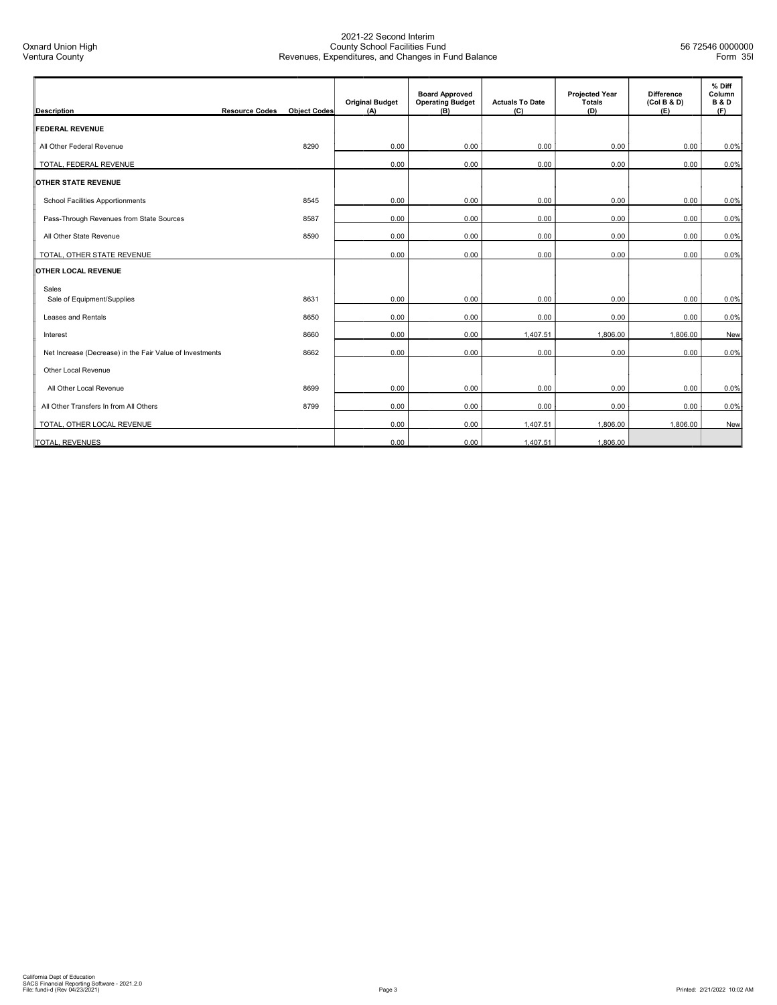| <b>Description</b>                                       | <b>Resource Codes</b> | <b>Object Codes</b> | <b>Original Budget</b><br>(A) | <b>Board Approved</b><br><b>Operating Budget</b><br>(B) | <b>Actuals To Date</b><br>(C) | <b>Projected Year</b><br>Totals<br>(D) | <b>Difference</b><br>(Col B & D)<br>(E) | % Diff<br>Column<br><b>B&amp;D</b><br>(F) |
|----------------------------------------------------------|-----------------------|---------------------|-------------------------------|---------------------------------------------------------|-------------------------------|----------------------------------------|-----------------------------------------|-------------------------------------------|
| <b>FEDERAL REVENUE</b>                                   |                       |                     |                               |                                                         |                               |                                        |                                         |                                           |
| All Other Federal Revenue                                |                       | 8290                | 0.00                          | 0.00                                                    | 0.00                          | 0.00                                   | 0.00                                    | 0.0%                                      |
| TOTAL, FEDERAL REVENUE                                   |                       |                     | 0.00                          | 0.00                                                    | 0.00                          | 0.00                                   | 0.00                                    | 0.0%                                      |
| <b>OTHER STATE REVENUE</b>                               |                       |                     |                               |                                                         |                               |                                        |                                         |                                           |
| School Facilities Apportionments                         |                       | 8545                | 0.00                          | 0.00                                                    | 0.00                          | 0.00                                   | 0.00                                    | 0.0%                                      |
| Pass-Through Revenues from State Sources                 |                       | 8587                | 0.00                          | 0.00                                                    | 0.00                          | 0.00                                   | 0.00                                    | 0.0%                                      |
| All Other State Revenue                                  |                       | 8590                | 0.00                          | 0.00                                                    | 0.00                          | 0.00                                   | 0.00                                    | 0.0%                                      |
| TOTAL, OTHER STATE REVENUE                               |                       |                     | 0.00                          | 0.00                                                    | 0.00                          | 0.00                                   | 0.00                                    | 0.0%                                      |
| OTHER LOCAL REVENUE                                      |                       |                     |                               |                                                         |                               |                                        |                                         |                                           |
| Sales<br>Sale of Equipment/Supplies                      |                       | 8631                | 0.00                          | 0.00                                                    | 0.00                          | 0.00                                   | 0.00                                    | 0.0%                                      |
| Leases and Rentals                                       |                       | 8650                | 0.00                          | 0.00                                                    | 0.00                          | 0.00                                   | 0.00                                    | 0.0%                                      |
| Interest                                                 |                       | 8660                | 0.00                          | 0.00                                                    | 1,407.51                      | 1,806.00                               | 1,806.00                                | New                                       |
| Net Increase (Decrease) in the Fair Value of Investments |                       | 8662                | 0.00                          | 0.00                                                    | 0.00                          | 0.00                                   | 0.00                                    | 0.0%                                      |
| Other Local Revenue                                      |                       |                     |                               |                                                         |                               |                                        |                                         |                                           |
| All Other Local Revenue                                  |                       | 8699                | 0.00                          | 0.00                                                    | 0.00                          | 0.00                                   | 0.00                                    | 0.0%                                      |
| All Other Transfers In from All Others                   |                       | 8799                | 0.00                          | 0.00                                                    | 0.00                          | 0.00                                   | 0.00                                    | 0.0%                                      |
| TOTAL, OTHER LOCAL REVENUE                               |                       |                     | 0.00                          | 0.00                                                    | 1,407.51                      | 1,806.00                               | 1,806.00                                | New                                       |
| <b>TOTAL, REVENUES</b>                                   |                       |                     | 0.00                          | 0.00                                                    | 1,407.51                      | 1,806.00                               |                                         |                                           |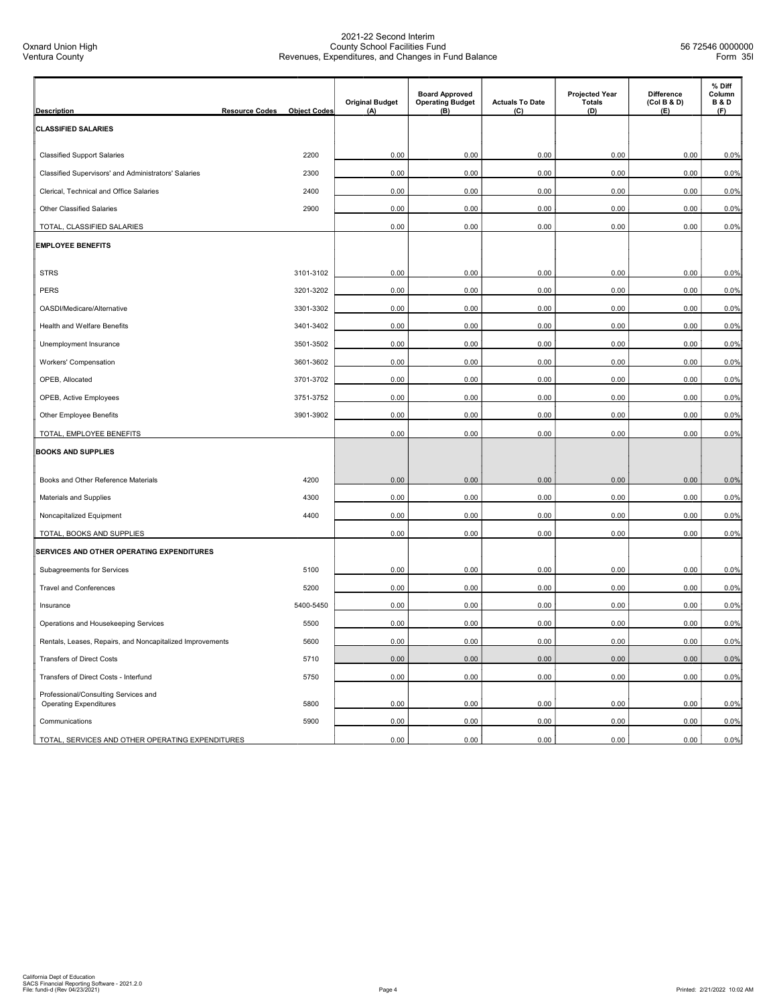| <b>Description</b>                                                    | <b>Resource Codes</b> | <b>Object Codes</b> | <b>Original Budget</b><br>(A) | <b>Board Approved</b><br><b>Operating Budget</b><br>(B) | <b>Actuals To Date</b><br>(C) | <b>Projected Year</b><br><b>Totals</b><br>(D) | <b>Difference</b><br>(Col B & D)<br>(E) | % Diff<br>Column<br><b>B&amp;D</b><br>(F) |
|-----------------------------------------------------------------------|-----------------------|---------------------|-------------------------------|---------------------------------------------------------|-------------------------------|-----------------------------------------------|-----------------------------------------|-------------------------------------------|
| <b>CLASSIFIED SALARIES</b>                                            |                       |                     |                               |                                                         |                               |                                               |                                         |                                           |
|                                                                       |                       |                     |                               |                                                         |                               |                                               |                                         |                                           |
| <b>Classified Support Salaries</b>                                    |                       | 2200                | 0.00                          | 0.00                                                    | 0.00                          | 0.00                                          | 0.00                                    | 0.0%                                      |
| Classified Supervisors' and Administrators' Salaries                  |                       | 2300                | 0.00                          | 0.00                                                    | 0.00                          | 0.00                                          | 0.00                                    | 0.0%                                      |
| Clerical, Technical and Office Salaries                               |                       | 2400                | 0.00                          | 0.00                                                    | 0.00                          | 0.00                                          | 0.00                                    | 0.0%                                      |
| <b>Other Classified Salaries</b>                                      |                       | 2900                | 0.00                          | 0.00                                                    | 0.00                          | 0.00                                          | 0.00                                    | 0.0%                                      |
| TOTAL, CLASSIFIED SALARIES                                            |                       |                     | 0.00                          | 0.00                                                    | 0.00                          | 0.00                                          | 0.00                                    | 0.0%                                      |
| <b>EMPLOYEE BENEFITS</b>                                              |                       |                     |                               |                                                         |                               |                                               |                                         |                                           |
|                                                                       |                       |                     |                               |                                                         |                               |                                               |                                         |                                           |
| <b>STRS</b>                                                           |                       | 3101-3102           | 0.00                          | 0.00                                                    | 0.00                          | 0.00                                          | 0.00                                    | 0.0%                                      |
| <b>PERS</b>                                                           |                       | 3201-3202           | 0.00                          | 0.00                                                    | 0.00                          | 0.00                                          | 0.00                                    | 0.0%                                      |
| OASDI/Medicare/Alternative                                            |                       | 3301-3302           | 0.00                          | 0.00                                                    | 0.00                          | 0.00                                          | 0.00                                    | 0.0%                                      |
| Health and Welfare Benefits                                           |                       | 3401-3402           | 0.00                          | 0.00                                                    | 0.00                          | 0.00                                          | 0.00                                    | 0.0%                                      |
| Unemployment Insurance                                                |                       | 3501-3502           | 0.00                          | 0.00                                                    | 0.00                          | 0.00                                          | 0.00                                    | 0.0%                                      |
| Workers' Compensation                                                 |                       | 3601-3602           | 0.00                          | 0.00                                                    | 0.00                          | 0.00                                          | 0.00                                    | 0.0%                                      |
| OPEB, Allocated                                                       |                       | 3701-3702           | 0.00                          | 0.00                                                    | 0.00                          | 0.00                                          | 0.00                                    | 0.0%                                      |
| OPEB, Active Employees                                                |                       | 3751-3752           | 0.00                          | 0.00                                                    | 0.00                          | 0.00                                          | 0.00                                    | 0.0%                                      |
| Other Employee Benefits                                               |                       | 3901-3902           | 0.00                          | 0.00                                                    | 0.00                          | 0.00                                          | 0.00                                    | 0.0%                                      |
| TOTAL, EMPLOYEE BENEFITS                                              |                       |                     | 0.00                          | 0.00                                                    | 0.00                          | 0.00                                          | 0.00                                    | 0.0%                                      |
| <b>BOOKS AND SUPPLIES</b>                                             |                       |                     |                               |                                                         |                               |                                               |                                         |                                           |
| Books and Other Reference Materials                                   |                       | 4200                | 0.00                          | 0.00                                                    | 0.00                          | 0.00                                          | 0.00                                    | 0.0%                                      |
| Materials and Supplies                                                |                       | 4300                | 0.00                          | 0.00                                                    | 0.00                          | 0.00                                          | 0.00                                    | 0.0%                                      |
| Noncapitalized Equipment                                              |                       | 4400                | 0.00                          | 0.00                                                    | 0.00                          | 0.00                                          | 0.00                                    | 0.0%                                      |
| TOTAL, BOOKS AND SUPPLIES                                             |                       |                     | 0.00                          | 0.00                                                    | 0.00                          | 0.00                                          | 0.00                                    | 0.0%                                      |
| SERVICES AND OTHER OPERATING EXPENDITURES                             |                       |                     |                               |                                                         |                               |                                               |                                         |                                           |
| Subagreements for Services                                            |                       | 5100                | 0.00                          | 0.00                                                    | 0.00                          | 0.00                                          | 0.00                                    | 0.0%                                      |
| <b>Travel and Conferences</b>                                         |                       | 5200                | 0.00                          | 0.00                                                    | 0.00                          | 0.00                                          | 0.00                                    | 0.0%                                      |
| Insurance                                                             |                       | 5400-5450           | 0.00                          | 0.00                                                    | 0.00                          | 0.00                                          | 0.00                                    | 0.0%                                      |
| Operations and Housekeeping Services                                  |                       | 5500                | 0.00                          | 0.00                                                    | 0.00                          | 0.00                                          | 0.00                                    | 0.0%                                      |
| Rentals, Leases, Repairs, and Noncapitalized Improvements             |                       | 5600                | 0.00                          | 0.00                                                    | 0.00                          | 0.00                                          | 0.00                                    | 0.0%                                      |
| <b>Transfers of Direct Costs</b>                                      |                       | 5710                | 0.00                          | 0.00                                                    | 0.00                          | 0.00                                          | 0.00                                    | 0.0%                                      |
| Transfers of Direct Costs - Interfund                                 |                       | 5750                | 0.00                          | 0.00                                                    | 0.00                          | 0.00                                          | 0.00                                    | 0.0%                                      |
| Professional/Consulting Services and<br><b>Operating Expenditures</b> |                       | 5800                | 0.00                          | 0.00                                                    | 0.00                          | 0.00                                          | 0.00                                    | 0.0%                                      |
| Communications                                                        |                       | 5900                | 0.00                          | 0.00                                                    | 0.00                          | 0.00                                          | 0.00                                    | 0.0%                                      |
| TOTAL, SERVICES AND OTHER OPERATING EXPENDITURES                      |                       |                     | 0.00                          | 0.00                                                    | 0.00                          | 0.00                                          | 0.00                                    | 0.0%                                      |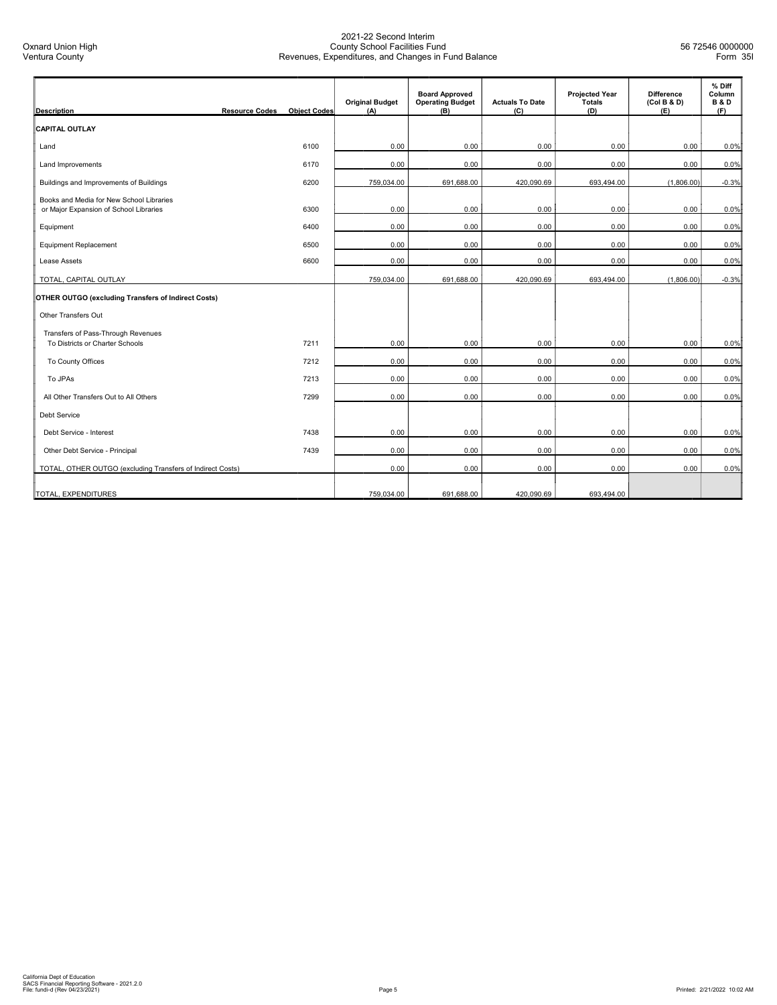| <b>Description</b>                                                                 | <b>Resource Codes</b> | <b>Object Codes</b> | <b>Original Budget</b><br>(A) | <b>Board Approved</b><br><b>Operating Budget</b><br>(B) | <b>Actuals To Date</b><br>(C) | <b>Projected Year</b><br>Totals<br>(D) | <b>Difference</b><br>(Col B & D)<br>(E) | % Diff<br>Column<br><b>B&amp;D</b><br>(F) |
|------------------------------------------------------------------------------------|-----------------------|---------------------|-------------------------------|---------------------------------------------------------|-------------------------------|----------------------------------------|-----------------------------------------|-------------------------------------------|
| <b>CAPITAL OUTLAY</b>                                                              |                       |                     |                               |                                                         |                               |                                        |                                         |                                           |
| Land                                                                               |                       | 6100                | 0.00                          | 0.00                                                    | 0.00                          | 0.00                                   | 0.00                                    | 0.0%                                      |
| <b>Land Improvements</b>                                                           |                       | 6170                | 0.00                          | 0.00                                                    | 0.00                          | 0.00                                   | 0.00                                    | 0.0%                                      |
| Buildings and Improvements of Buildings                                            |                       | 6200                | 759,034.00                    | 691,688.00                                              | 420,090.69                    | 693,494.00                             | (1,806.00)                              | $-0.3%$                                   |
| Books and Media for New School Libraries<br>or Major Expansion of School Libraries |                       | 6300                | 0.00                          | 0.00                                                    | 0.00                          | 0.00                                   | 0.00                                    | 0.0%                                      |
| Equipment                                                                          |                       | 6400                | 0.00                          | 0.00                                                    | 0.00                          | 0.00                                   | 0.00                                    | 0.0%                                      |
| <b>Equipment Replacement</b>                                                       |                       | 6500                | 0.00                          | 0.00                                                    | 0.00                          | 0.00                                   | 0.00                                    | 0.0%                                      |
| Lease Assets                                                                       |                       | 6600                | 0.00                          | 0.00                                                    | 0.00                          | 0.00                                   | 0.00                                    | 0.0%                                      |
| TOTAL, CAPITAL OUTLAY                                                              |                       |                     | 759,034.00                    | 691,688.00                                              | 420,090.69                    | 693,494.00                             | (1,806.00)                              | $-0.3%$                                   |
| OTHER OUTGO (excluding Transfers of Indirect Costs)                                |                       |                     |                               |                                                         |                               |                                        |                                         |                                           |
| Other Transfers Out                                                                |                       |                     |                               |                                                         |                               |                                        |                                         |                                           |
| Transfers of Pass-Through Revenues<br>To Districts or Charter Schools              |                       | 7211                | 0.00                          | 0.00                                                    | 0.00                          | 0.00                                   | 0.00                                    | 0.0%                                      |
| To County Offices                                                                  |                       | 7212                | 0.00                          | 0.00                                                    | 0.00                          | 0.00                                   | 0.00                                    | 0.0%                                      |
| To JPAs                                                                            |                       | 7213                | 0.00                          | 0.00                                                    | 0.00                          | 0.00                                   | 0.00                                    | 0.0%                                      |
| All Other Transfers Out to All Others                                              |                       | 7299                | 0.00                          | 0.00                                                    | 0.00                          | 0.00                                   | 0.00                                    | 0.0%                                      |
| <b>Debt Service</b>                                                                |                       |                     |                               |                                                         |                               |                                        |                                         |                                           |
| Debt Service - Interest                                                            |                       | 7438                | 0.00                          | 0.00                                                    | 0.00                          | 0.00                                   | 0.00                                    | 0.0%                                      |
| Other Debt Service - Principal                                                     |                       | 7439                | 0.00                          | 0.00                                                    | 0.00                          | 0.00                                   | 0.00                                    | 0.0%                                      |
| TOTAL, OTHER OUTGO (excluding Transfers of Indirect Costs)                         |                       |                     | 0.00                          | 0.00                                                    | 0.00                          | 0.00                                   | 0.00                                    | 0.0%                                      |
| TOTAL, EXPENDITURES                                                                |                       |                     | 759,034.00                    | 691,688.00                                              | 420,090.69                    | 693,494.00                             |                                         |                                           |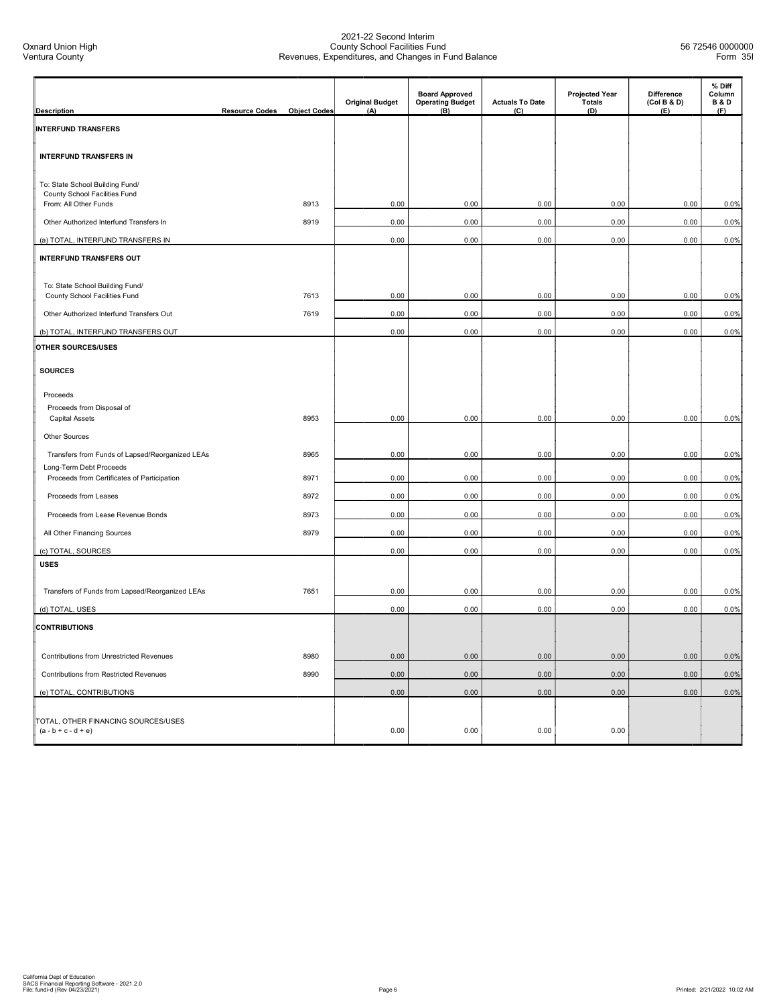| <b>Description</b>                                                         | <b>Resource Codes</b> | <b>Object Codes</b> | <b>Original Budget</b><br>(A) | <b>Board Approved</b><br><b>Operating Budget</b><br>(B) | <b>Actuals To Date</b><br>(C) | <b>Projected Year</b><br><b>Totals</b><br>(D) | <b>Difference</b><br>(Col B & D)<br>(E) | % Diff<br>Column<br><b>B&amp;D</b><br>(F) |
|----------------------------------------------------------------------------|-----------------------|---------------------|-------------------------------|---------------------------------------------------------|-------------------------------|-----------------------------------------------|-----------------------------------------|-------------------------------------------|
|                                                                            |                       |                     |                               |                                                         |                               |                                               |                                         |                                           |
| <b>INTERFUND TRANSFERS</b>                                                 |                       |                     |                               |                                                         |                               |                                               |                                         |                                           |
| <b>INTERFUND TRANSFERS IN</b>                                              |                       |                     |                               |                                                         |                               |                                               |                                         |                                           |
| To: State School Building Fund/<br>County School Facilities Fund           |                       |                     |                               |                                                         |                               |                                               |                                         |                                           |
| From: All Other Funds                                                      |                       | 8913                | 0.00                          | 0.00                                                    | 0.00                          | 0.00                                          | 0.00                                    | 0.0%                                      |
| Other Authorized Interfund Transfers In                                    |                       | 8919                | 0.00                          | 0.00                                                    | 0.00                          | 0.00                                          | 0.00                                    | 0.0%                                      |
| (a) TOTAL, INTERFUND TRANSFERS IN                                          |                       |                     | 0.00                          | 0.00                                                    | 0.00                          | 0.00                                          | 0.00                                    | 0.0%                                      |
| <b>INTERFUND TRANSFERS OUT</b>                                             |                       |                     |                               |                                                         |                               |                                               |                                         |                                           |
| To: State School Building Fund/                                            |                       |                     |                               |                                                         |                               |                                               |                                         |                                           |
| County School Facilities Fund                                              |                       | 7613                | 0.00                          | 0.00                                                    | 0.00                          | 0.00                                          | 0.00                                    | 0.0%                                      |
| Other Authorized Interfund Transfers Out                                   |                       | 7619                | 0.00                          | 0.00                                                    | 0.00                          | 0.00                                          | 0.00                                    | 0.0%                                      |
| (b) TOTAL, INTERFUND TRANSFERS OUT                                         |                       |                     | 0.00                          | 0.00                                                    | 0.00                          | 0.00                                          | 0.00                                    | 0.0%                                      |
| OTHER SOURCES/USES                                                         |                       |                     |                               |                                                         |                               |                                               |                                         |                                           |
| <b>SOURCES</b>                                                             |                       |                     |                               |                                                         |                               |                                               |                                         |                                           |
| Proceeds                                                                   |                       |                     |                               |                                                         |                               |                                               |                                         |                                           |
| Proceeds from Disposal of                                                  |                       | 8953                | 0.00                          | 0.00                                                    | 0.00                          | 0.00                                          |                                         |                                           |
| <b>Capital Assets</b>                                                      |                       |                     |                               |                                                         |                               |                                               | 0.00                                    | 0.0%                                      |
| Other Sources                                                              |                       |                     |                               |                                                         |                               |                                               |                                         |                                           |
| Transfers from Funds of Lapsed/Reorganized LEAs<br>Long-Term Debt Proceeds |                       | 8965                | 0.00                          | 0.00                                                    | 0.00                          | 0.00                                          | 0.00                                    | 0.0%                                      |
| Proceeds from Certificates of Participation                                |                       | 8971                | 0.00                          | 0.00                                                    | 0.00                          | 0.00                                          | 0.00                                    | 0.0%                                      |
| Proceeds from Leases                                                       |                       | 8972                | 0.00                          | 0.00                                                    | 0.00                          | 0.00                                          | 0.00                                    | 0.0%                                      |
| Proceeds from Lease Revenue Bonds                                          |                       | 8973                | 0.00                          | 0.00                                                    | 0.00                          | 0.00                                          | 0.00                                    | 0.0%                                      |
| All Other Financing Sources                                                |                       | 8979                | 0.00                          | 0.00                                                    | 0.00                          | 0.00                                          | 0.00                                    | 0.0%                                      |
| (c) TOTAL, SOURCES                                                         |                       |                     | 0.00                          | 0.00                                                    | 0.00                          | 0.00                                          | 0.00                                    | 0.0%                                      |
| <b>USES</b>                                                                |                       |                     |                               |                                                         |                               |                                               |                                         |                                           |
| Transfers of Funds from Lapsed/Reorganized LEAs                            |                       | 7651                | 0.00                          | 0.00                                                    | 0.00                          | 0.00                                          | 0.00                                    | 0.0%                                      |
| (d) TOTAL, USES                                                            |                       |                     | 0.00                          | 0.00                                                    | 0.00                          | 0.00                                          | 0.00                                    | 0.0%                                      |
| <b>CONTRIBUTIONS</b>                                                       |                       |                     |                               |                                                         |                               |                                               |                                         |                                           |
| Contributions from Unrestricted Revenues                                   |                       | 8980                | 0.00                          | 0.00                                                    | 0.00                          | 0.00                                          | 0.00                                    | 0.0%                                      |
| Contributions from Restricted Revenues                                     |                       | 8990                | 0.00                          | 0.00                                                    | 0.00                          | 0.00                                          | 0.00                                    | 0.0%                                      |
| (e) TOTAL, CONTRIBUTIONS                                                   |                       |                     | 0.00                          | 0.00                                                    | 0.00                          | 0.00                                          | 0.00                                    | 0.0%                                      |
| TOTAL, OTHER FINANCING SOURCES/USES<br>$(a - b + c - d + e)$               |                       |                     | 0.00                          | 0.00                                                    | 0.00                          | 0.00                                          |                                         |                                           |
|                                                                            |                       |                     |                               |                                                         |                               |                                               |                                         |                                           |